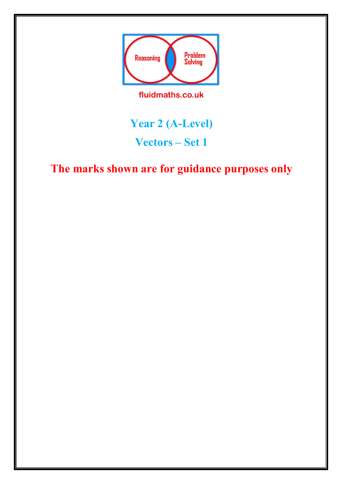

fluidmaths.co.uk

## **Year 2 (A-Level) Vectors – Set 1**

## **The marks shown are for guidance purposes only**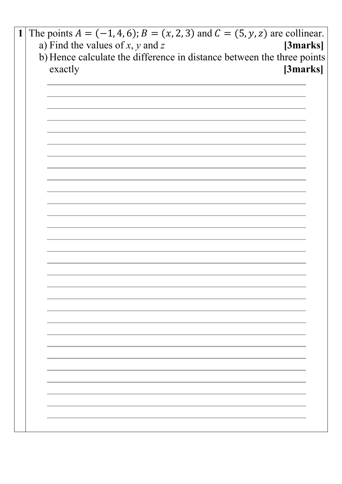| $\mathbf{1}$ | The points $A = (-1, 4, 6)$ ; $B = (x, 2, 3)$ and $C = (5, y, z)$ are collinear. |
|--------------|----------------------------------------------------------------------------------|
|              | a) Find the values of $x$ , $y$ and $z$<br>[3marks]                              |
|              | b) Hence calculate the difference in distance between the three points           |
|              | exactly<br>[3marks]                                                              |
|              |                                                                                  |
|              |                                                                                  |
|              |                                                                                  |
|              |                                                                                  |
|              |                                                                                  |
|              |                                                                                  |
|              |                                                                                  |
|              |                                                                                  |
|              |                                                                                  |
|              |                                                                                  |
|              |                                                                                  |
|              |                                                                                  |
|              |                                                                                  |
|              |                                                                                  |
|              |                                                                                  |
|              |                                                                                  |
|              |                                                                                  |
|              |                                                                                  |
|              |                                                                                  |
|              |                                                                                  |
|              |                                                                                  |
|              |                                                                                  |
|              |                                                                                  |
|              |                                                                                  |
|              |                                                                                  |
|              |                                                                                  |
|              |                                                                                  |
|              |                                                                                  |
|              |                                                                                  |
|              |                                                                                  |
|              |                                                                                  |
|              |                                                                                  |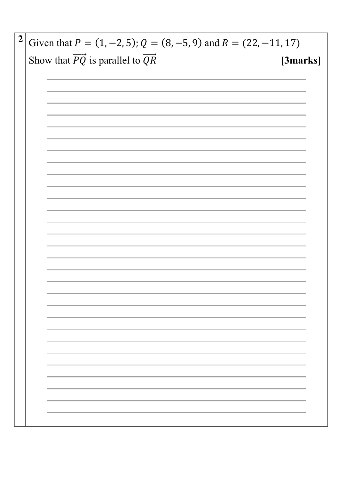| $\boldsymbol{2}$ | Given that $P = (1, -2, 5)$ ; $Q = (8, -5, 9)$ and $R = (22, -11, 17)$           |
|------------------|----------------------------------------------------------------------------------|
|                  | Show that $\overrightarrow{PQ}$ is parallel to $\overrightarrow{QR}$<br>[3marks] |
|                  |                                                                                  |
|                  |                                                                                  |
|                  |                                                                                  |
|                  |                                                                                  |
|                  |                                                                                  |
|                  |                                                                                  |
|                  |                                                                                  |
|                  |                                                                                  |
|                  |                                                                                  |
|                  |                                                                                  |
|                  |                                                                                  |
|                  |                                                                                  |
|                  |                                                                                  |
|                  |                                                                                  |
|                  |                                                                                  |
|                  |                                                                                  |
|                  |                                                                                  |
|                  |                                                                                  |
|                  | ,我们也不会有什么。""我们的人,我们也不会有什么?""我们的人,我们也不会有什么?""我们的人,我们也不会有什么?""我们的人,我们也不会有什么?""我们的人 |
|                  |                                                                                  |
|                  |                                                                                  |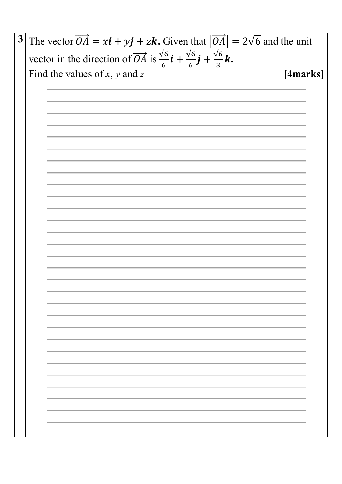The vector  $\overrightarrow{OA} = x\mathbf{i} + y\mathbf{j} + z\mathbf{k}$ . Given that  $|\overrightarrow{OA}| = 2\sqrt{6}$  and the unit  $\mathbf{3}$ vector in the direction of  $\overrightarrow{OA}$  is  $\frac{\sqrt{6}}{6}i + \frac{\sqrt{6}}{6}j + \frac{\sqrt{6}}{3}k$ . Find the values of  $x$ ,  $y$  and  $z$ [4marks]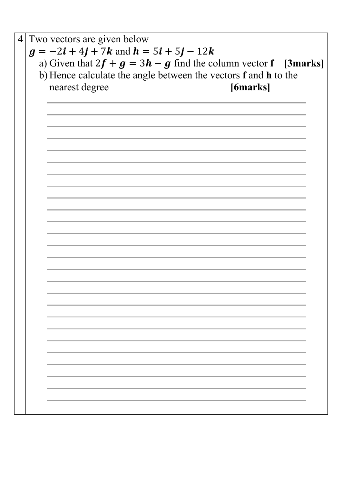**4** Two vectors are given below  $g = -2i + 4j + 7k$  and  $h = 5i + 5j - 12k$ a) Given that  $2f + g = 3h - g$  find the column vector **f** [3marks] b) Hence calculate the angle between the vectors **f** and **h** to the nearest degree **[6marks]**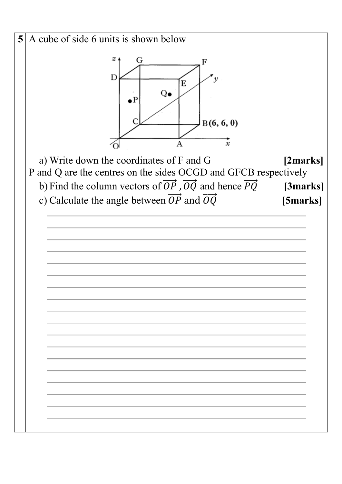